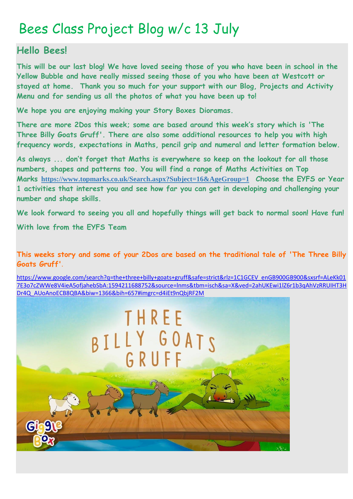## Bees Class Project Blog w/c 13 July

#### **Hello Bees!**

**This will be our last blog! We have loved seeing those of you who have been in school in the Yellow Bubble and have really missed seeing those of you who have been at Westcott or stayed at home. Thank you so much for your support with our Blog, Projects and Activity Menu and for sending us all the photos of what you have been up to!**

**We hope you are enjoying making your Story Boxes Dioramas.**

**There are more 2Dos this week; some are based around this week's story which is 'The Three Billy Goats Gruff'. There are also some additional resources to help you with high frequency words, expectations in Maths, pencil grip and numeral and letter formation below.**

**As always ... don't forget that Maths is everywhere so keep on the lookout for all those numbers, shapes and patterns too. You will find a range of Maths Activities on Top Marks <https://www.topmarks.co.uk/Search.aspx?Subject=16&AgeGroup=1> Choose the EYFS or Year 1 activities that interest you and see how far you can get in developing and challenging your number and shape skills.**

**We look forward to seeing you all and hopefully things will get back to normal soon! Have fun!**

**With love from the EYFS Team**

**This weeks story and some of your 2Dos are based on the traditional tale of 'The Three Billy Goats Gruff'**.

[https://www.google.com/search?q=the+three+billy+goats+gruff&safe=strict&rlz=1C1GCEV\\_enGB900GB900&sxsrf=ALeKk01](https://www.google.com/search?q=the+three+billy+goats+gruff&safe=strict&rlz=1C1GCEV_enGB900GB900&sxsrf=ALeKk017E3o7cZWWe8V4ieA5ofjahebSbA:1594211688752&source=lnms&tbm=isch&sa=X&ved=2ahUKEwi1lZ6r1b3qAhVzRRUIHT3HDr4Q_AUoAnoECB8QBA&biw=1366&bih=657#imgrc=d4iEt9nQbjRF2M) [7E3o7cZWWe8V4ieA5ofjahebSbA:1594211688752&source=lnms&tbm=isch&sa=X&ved=2ahUKEwi1lZ6r1b3qAhVzRRUIHT3H](https://www.google.com/search?q=the+three+billy+goats+gruff&safe=strict&rlz=1C1GCEV_enGB900GB900&sxsrf=ALeKk017E3o7cZWWe8V4ieA5ofjahebSbA:1594211688752&source=lnms&tbm=isch&sa=X&ved=2ahUKEwi1lZ6r1b3qAhVzRRUIHT3HDr4Q_AUoAnoECB8QBA&biw=1366&bih=657#imgrc=d4iEt9nQbjRF2M) [Dr4Q\\_AUoAnoECB8QBA&biw=1366&bih=657#imgrc=d4iEt9nQbjRF2M](https://www.google.com/search?q=the+three+billy+goats+gruff&safe=strict&rlz=1C1GCEV_enGB900GB900&sxsrf=ALeKk017E3o7cZWWe8V4ieA5ofjahebSbA:1594211688752&source=lnms&tbm=isch&sa=X&ved=2ahUKEwi1lZ6r1b3qAhVzRRUIHT3HDr4Q_AUoAnoECB8QBA&biw=1366&bih=657#imgrc=d4iEt9nQbjRF2M)

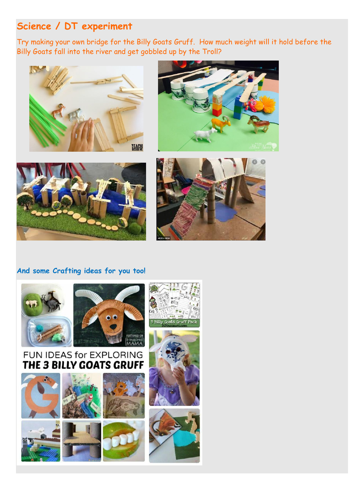### **Science / DT experiment**

Try making your own bridge for the Billy Goats Gruff. How much weight will it hold before the Billy Goats fall into the river and get gobbled up by the Troll?









#### **And some Crafting ideas for you too!**













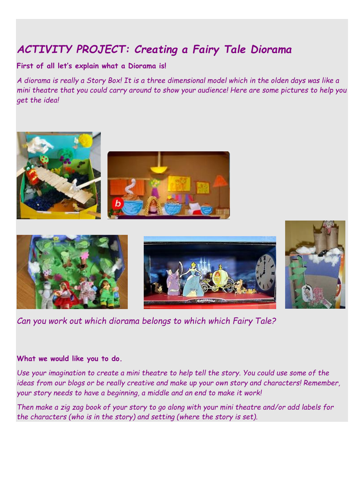## *ACTIVITY PROJECT: Creating a Fairy Tale Diorama*

#### **First of all let's explain what a Diorama is!**

*A diorama is really a Story Box! It is a three dimensional model which in the olden days was like a mini theatre that you could carry around to show your audience! Here are some pictures to help you get the idea!*









*Can you work out which diorama belongs to which which Fairy Tale?*

#### **What we would like you to do.**

*Use your imagination to create a mini theatre to help tell the story. You could use some of the ideas from our blogs or be really creative and make up your own story and characters! Remember, your story needs to have a beginning, a middle and an end to make it work!*

*Then make a zig zag book of your story to go along with your mini theatre and/or add labels for the characters (who is in the story) and setting (where the story is set).*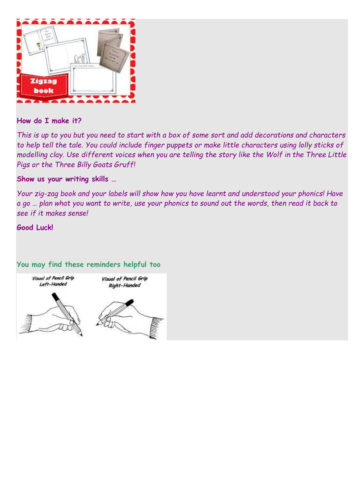

#### **How do I make it?**

*This is up to you but you need to start with a box of some sort and add decorations and characters to help tell the tale. You could include finger puppets or make little characters using lolly sticks of modelling clay. Use different voices when you are telling the story like the Wolf in the Three Little Pigs or the Three Billy Goats Gruff!*

#### **Show us your writing skills …**

*Your zig-zag book and your labels will show how you have learnt and understood your phonics! Have a go … plan what you want to write, use your phonics to sound out the words, then read it back to see if it makes sense!*

**Good Luck!**

#### **You may find these reminders helpful too**

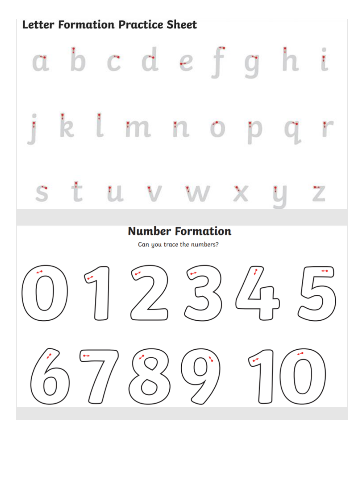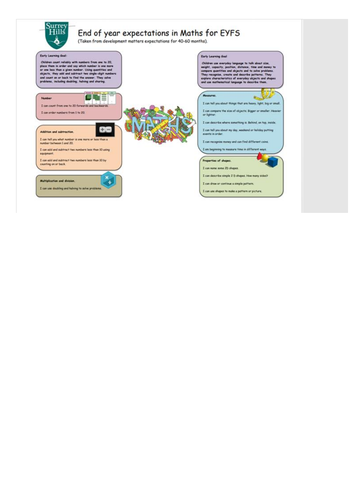